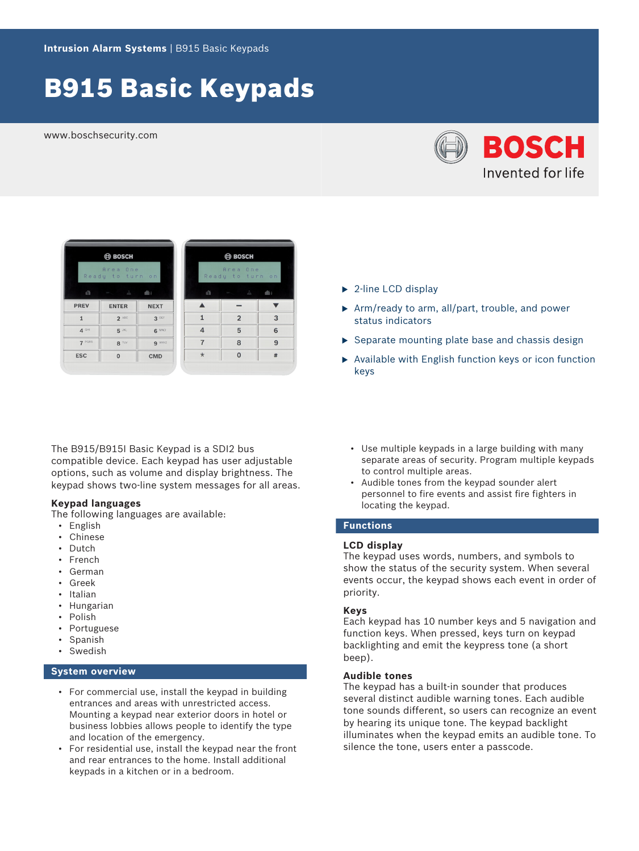# B915 Basic Keypads

www.boschsecurity.com





|                  | <b>BOSCH</b>   |                              |  |
|------------------|----------------|------------------------------|--|
|                  |                | Area One<br>Ready to turn on |  |
| 曲                |                |                              |  |
| $\blacktriangle$ |                |                              |  |
| $\mathbf{1}$     | $\overline{2}$ | $\overline{3}$               |  |
| $\overline{4}$   | 5              | 6                            |  |
| $\overline{7}$   | 8              | 9                            |  |
| $\star$          | $\overline{0}$ | #                            |  |

The B915/B915I Basic Keypad is a SDI2 bus compatible device. Each keypad has user adjustable options, such as volume and display brightness. The keypad shows two-line system messages for all areas.

# **Keypad languages**

The following languages are available:

- English
- Chinese
- Dutch
- French
- German
- Greek
- Italian
- Hungarian
- Polish
- **Portuguese**
- Spanish
- **Swedish**

# **System overview**

- For commercial use, install the keypad in building entrances and areas with unrestricted access. Mounting a keypad near exterior doors in hotel or business lobbies allows people to identify the type and location of the emergency.
- For residential use, install the keypad near the front and rear entrances to the home. Install additional keypads in a kitchen or in a bedroom.
- $\blacktriangleright$  2-line LCD display
- $\triangleright$  Arm/ready to arm, all/part, trouble, and power status indicators
- $\triangleright$  Separate mounting plate base and chassis design
- $\triangleright$  Available with English function keys or icon function keys
	- Use multiple keypads in a large building with many separate areas of security. Program multiple keypads to control multiple areas.
	- Audible tones from the keypad sounder alert personnel to fire events and assist fire fighters in locating the keypad.

# **Functions**

#### **LCD display**

The keypad uses words, numbers, and symbols to show the status of the security system. When several events occur, the keypad shows each event in order of priority.

#### **Keys**

Each keypad has 10 number keys and 5 navigation and function keys. When pressed, keys turn on keypad backlighting and emit the keypress tone (a short beep).

#### **Audible tones**

The keypad has a built-in sounder that produces several distinct audible warning tones. Each audible tone sounds different, so users can recognize an event by hearing its unique tone. The keypad backlight illuminates when the keypad emits an audible tone. To silence the tone, users enter a passcode.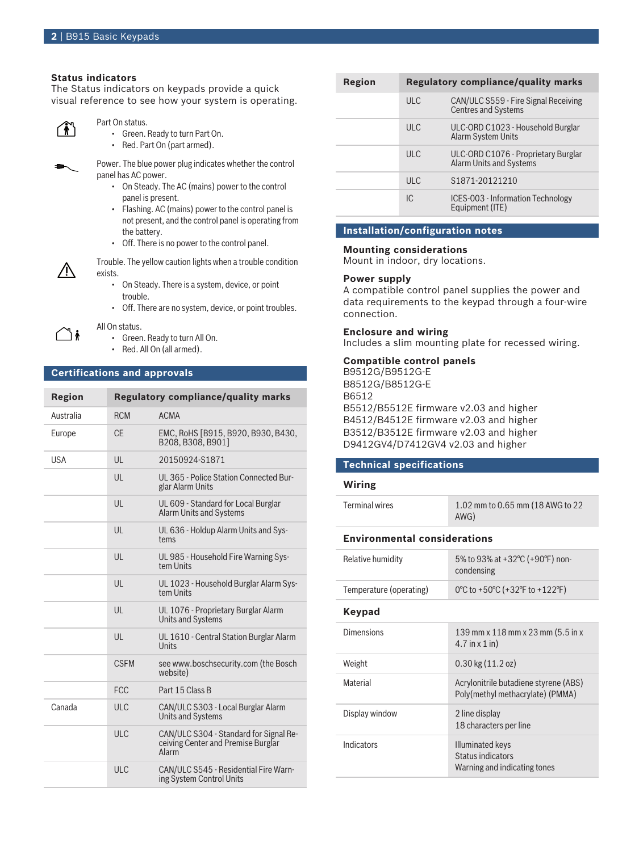# **Status indicators**

The Status indicators on keypads provide a quick visual reference to see how your system is operating.



### Part On status.

- Green. Ready to turn Part On.
- Red. Part On (part armed).



Л

ไ∔้

Power. The blue power plug indicates whether the control panel has AC power.

- On Steady. The AC (mains) power to the control panel is present.
- Flashing. AC (mains) power to the control panel is not present, and the control panel is operating from the battery.
- Off. There is no power to the control panel.

Trouble. The yellow caution lights when a trouble condition exists.

- On Steady. There is a system, device, or point trouble.
- Off. There are no system, device, or point troubles.

All On status.

- Green. Ready to turn All On.
- Red. All On (all armed).

# **Certifications and approvals**

| Region     |                | <b>Regulatory compliance/quality marks</b>                                            |
|------------|----------------|---------------------------------------------------------------------------------------|
| Australia  | <b>RCM</b>     | <b>ACMA</b>                                                                           |
| Europe     | $C_{\text{F}}$ | EMC, RoHS [B915, B920, B930, B430,<br>B208. B308. B9011                               |
| <b>USA</b> | UL             | 20150924-S1871                                                                        |
|            | $\mathsf{U}$   | UL 365 - Police Station Connected Bur-<br>glar Alarm Units                            |
|            | III            | UL 609 - Standard for Local Burglar<br><b>Alarm Units and Systems</b>                 |
|            | UL             | UL 636 - Holdup Alarm Units and Sys-<br>tems                                          |
|            | $\mathbf{U}$   | UL 985 - Household Fire Warning Sys-<br>tem Units                                     |
|            | III            | UL 1023 - Household Burglar Alarm Sys-<br>tem Units                                   |
|            | III            | UL 1076 - Proprietary Burglar Alarm<br><b>Units and Systems</b>                       |
|            | UL             | UL 1610 - Central Station Burglar Alarm<br>Units                                      |
|            | <b>CSFM</b>    | see www.boschsecurity.com (the Bosch<br>website)                                      |
|            | <b>FCC</b>     | Part 15 Class B                                                                       |
| Canada     | <b>ULC</b>     | CAN/ULC S303 - Local Burglar Alarm<br><b>Units and Systems</b>                        |
|            | <b>ULC</b>     | CAN/ULC S304 - Standard for Signal Re-<br>ceiving Center and Premise Burglar<br>Alarm |
|            | ULC            | CAN/ULC S545 - Residential Fire Warn-<br>ing System Control Units                     |

| Region | <b>Regulatory compliance/quality marks</b> |                                                                    |  |
|--------|--------------------------------------------|--------------------------------------------------------------------|--|
|        | ULC                                        | CAN/ULC S559 - Fire Signal Receiving<br><b>Centres and Systems</b> |  |
|        | ULC                                        | ULC-ORD C1023 - Household Burglar<br>Alarm System Units            |  |
|        | ULC                                        | ULC-ORD C1076 - Proprietary Burglar<br>Alarm Units and Systems     |  |
|        | ULC                                        | \$1871-20121210                                                    |  |
|        | IC.                                        | ICES-003 - Information Technology<br>Equipment (ITE)               |  |

# **Installation/configuration notes**

#### **Mounting considerations**

Mount in indoor, dry locations.

#### **Power supply**

A compatible control panel supplies the power and data requirements to the keypad through a four-wire connection.

#### **Enclosure and wiring**

Includes a slim mounting plate for recessed wiring.

### **Compatible control panels**

B9512G/B9512G-E B8512G/B8512G-E B6512 B5512/B5512E firmware v2.03 and higher B4512/B4512E firmware v2.03 and higher B3512/B3512E firmware v2.03 and higher D9412GV4/D7412GV4 v2.03 and higher

#### **Technical specifications**

#### **Wiring**

| 1.02 mm to 0.65 mm (18 AWG to 22<br>AWG)                                  |  |  |  |  |
|---------------------------------------------------------------------------|--|--|--|--|
| <b>Environmental considerations</b>                                       |  |  |  |  |
| 5% to 93% at +32°C (+90°F) non-<br>condensing                             |  |  |  |  |
| 0°C to +50°C (+32°F to +122°F)                                            |  |  |  |  |
|                                                                           |  |  |  |  |
| 139 mm x 118 mm x 23 mm (5.5 in x<br>$4.7$ in $\times$ 1 in)              |  |  |  |  |
| $0.30$ kg $(11.2$ oz)                                                     |  |  |  |  |
| Acrylonitrile butadiene styrene (ABS)<br>Poly(methyl methacrylate) (PMMA) |  |  |  |  |
| 2 line display<br>18 characters per line                                  |  |  |  |  |
| Illuminated keys<br>Status indicators<br>Warning and indicating tones     |  |  |  |  |
|                                                                           |  |  |  |  |